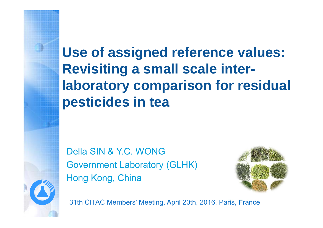**Use of assigned reference values: Revisiting a small scale interlaboratory comparison for residual pesticides in tea**

Della SIN & Y.C. WONGGovernment Laboratory (GLHK) Hong Kong, China



31th CITAC Members' Meeting, April 20th, 2016, Paris, France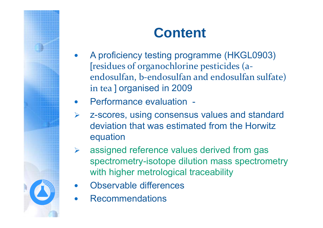# **Content**

- $\bullet$  A proficiency testing programme (HKGL0903) [residues of organochlorine pesticides (a‐ endosulfan, b‐endosulfan and endosulfan sulfate) in tea ] organised in 2009
- $\bullet$ Performance evaluation -
- $\blacktriangleright$  z-scores, using consensus values and standard deviation that was estimated from the Horwitz equation
- $\blacktriangleright$  assigned reference values derived from gas spectrometry-isotope dilution mass spectrometry with higher metrological traceability
- $\bullet$ Observable differences
- $\bullet$ Recommendations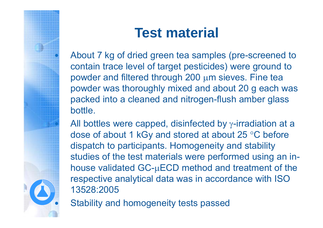

# **Test material**

 About 7 kg of dried green tea samples (pre-screened to contain trace level of target pesticides) were ground to powder and filtered through  $200 \mu m$  sieves. Fine tea powder was thoroughly mixed and about 20 g each was packed into a cleaned and nitrogen-flush amber glass bottle.

All bottles were capped, disinfected by  $\gamma$ -irradiation at a dose of about 1 kGy and stored at about 25  $\degree$ C before dispatch to participants. Homogeneity and stability studies of the test materials were performed using an inhouse validated  $GC$ - $\mu$ ECD method and treatment of the respective analytical data was in accordance with ISO 13528:2005

Stability and homogeneity tests passed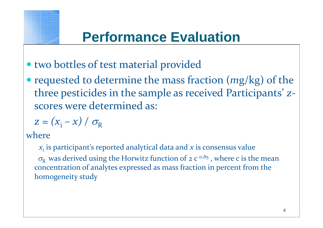

# **Performance Evaluation**

- two bottles of test material provided
- requested to determine the mass fraction ( *<sup>m</sup>*g/kg) of the three pesticides in the sample as received Participants' *z* ‐ scores were determined as:

$$
z = (x_i - x) / \sigma_R
$$

where

*x*i is participant's reported analytical data and *x* is consensus value  $\sigma_{\rm R}$  was derived using the Horwitz function of 2 c<sup>o.85</sup>, where c is the mean concentration of analytes expressed as mass fraction in percen<sup>t</sup> from the homogeneity study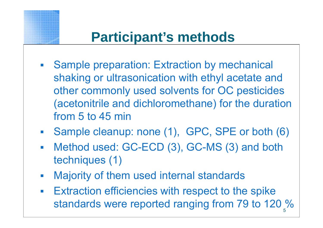

# **Participant's methods**

- **Sample preparation: Extraction by mechanical** shaking or ultrasonication with ethyl acetate and other commonly used solvents for OC pesticides (acetonitrile and dichloromethane) for the duration from 5 to 45 min
- Sample cleanup: none (1), GPC, SPE or both (6)
- $\mathcal{L}_{\mathcal{A}}$  Method used: GC-ECD (3), GC-MS (3) and both techniques (1)
- $\mathcal{L}_{\mathcal{A}}$ Majority of them used internal standards
- $\mathcal{L}_{\mathcal{A}}$  Extraction efficiencies with respect to the spike standards were reported ranging from 79 to 120 %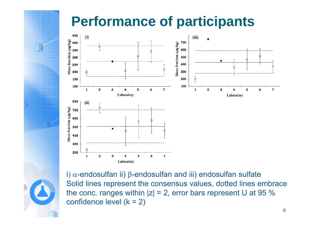# **Performance of participants**



i)  $\alpha$ -endosulfan ii) β-endosulfan and iii) endosulfan sulfate Solid lines represent the consensus values, dotted lines embrace the conc. ranges within  $|z| = 2$ , error bars represent U at 95 % confidence level  $(k = 2)$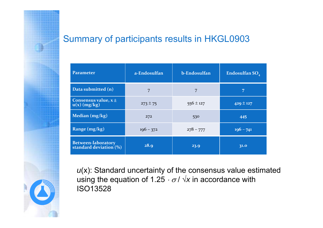#### Summary of participants results in HKGL0903

| <b>Parameter</b>                                               | a-Endosulfan | b-Endosulfan  | Endosulfan SO <sub>4</sub> |
|----------------------------------------------------------------|--------------|---------------|----------------------------|
| Data submitted (n)                                             | 7            | 7             | 7                          |
| Consensus value, $x \pm$<br>$u(x)$ (mg/kg)                     | $273 \pm 75$ | $556 \pm 127$ | $429 \pm 127$              |
| Median (mg/kg)                                                 | 272          | 530           | 445                        |
| Range $(mg/kg)$                                                | $196 - 372$  | $278 - 777$   | $196 - 741$                |
| <b>Between-laboratory</b><br>standard deviation <sup>(%)</sup> | 28.9         | 23.9          | 31.0                       |

*<sup>u</sup>*(x): Standard uncertainty of the consensus value estimated using the equation of 1.25  $\cdot$   $\sigma$  /  $\sqrt{\varkappa}$  in accordance with ISO13528

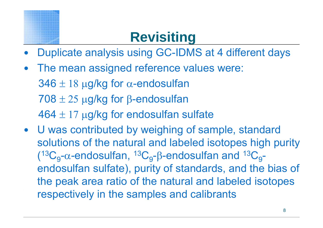# **Revisiting**

- $\bullet$ Duplicate analysis using GC-IDMS at 4 different days
- $\bullet$  The mean assigned reference values were:  $346 \pm 18$  µg/kg for  $\alpha$ -endosulfan  $708 \pm 25$  µg/kg for  $\beta$ -endosulfan  $464 \pm 17$  µg/kg for endosulfan sulfate
- U was contributed by weighing of sample, standard solutions of the natural and labeled isotopes high purity  $(13C_q$ - $\alpha$ -endosulfan,  $13C_q$ - $\beta$ -endosulfan and  $13C_q$ endosulfan sulfate), purity of standards, and the bias of the peak area ratio of the natural and labeled isotopes respectively in the samples and calibrants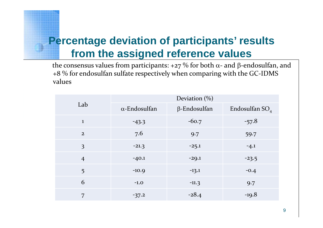#### **Percentage deviation of participants' results from the assigned reference values**

the consensus values from participants: +27  $\%$  for both  $\alpha$ - and  $\beta$ -endosulfan, and +8 % for endosulfan sulfate respectively when comparing with the GC ‐IDMS values

| Lab            | Deviation $(\%)$     |                     |                            |  |
|----------------|----------------------|---------------------|----------------------------|--|
|                | $\alpha$ -Endosulfan | $\beta$ -Endosulfan | Endosulfan SO <sub>4</sub> |  |
| $\mathbf{1}$   | $-43.3$              | $-60.7$             | $-57.8$                    |  |
| $\overline{2}$ | 7.6                  | 9.7                 | 59.7                       |  |
| 3              | $-21.3$              | $-25.1$             | $-4.1$                     |  |
| $\overline{4}$ | $-40.1$              | $-29.1$             | $-23.5$                    |  |
| 5              | $-10.9$              | $-13.1$             | $-0.4$                     |  |
| 6              | $-1.0$               | $-11.3$             | 9.7                        |  |
| 7              | $-37.2$              | $-28.4$             | $-19.8$                    |  |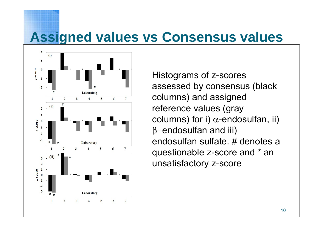### **Assigned values vs Consensus values**



Histograms of z-scores assessed by consensus (black columns) and assigned reference values (gray columns) for i)  $\alpha$ -endosulfan, ii)  $\,$  $\beta$ -endosulfan and iii) endosulfan sulfate. # denotes a questionable z-score and \* an unsatisfactory z-score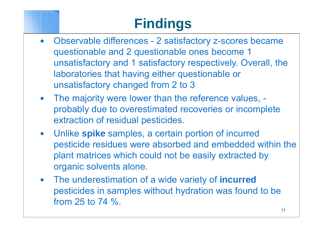# **Findings**

- $\bullet$  Observable differences - 2 satisfactory z-scores became questionable and 2 questionable ones become 1 unsatisfactory and 1 satisfactory respectively. Overall, the laboratories that having either questionable or unsatisfactory changed from 2 to 3
- The majority were lower than the reference values, probably due to overestimated recoveries or incomplete extraction of residual pesticides.
- $\bullet$  Unlike **spike** samples, a certain portion of incurred pesticide residues were absorbed and embedded within the plant matrices which could not be easily extracted by organic solvents alone.
- $\bullet$  The underestimation of a wide variety of **incurred** pesticides in samples without hydration was found to be from 25 to 74 %.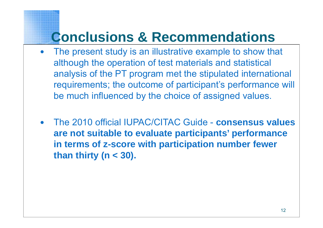# **Conclusions & Recommendations**

- $\bullet$  The present study is an illustrative example to show that although the operation of test materials and statistical analysis of the PT program met the stipulated international requirements; the outcome of participant's performance will be much influenced by the choice of assigned values.
- $\bullet$  The 2010 official IUPAC/CITAC Guide - **consensus values are not suitable to evaluate participants' performance in terms of z-score with participation number fewer than thirty (n < 30).**